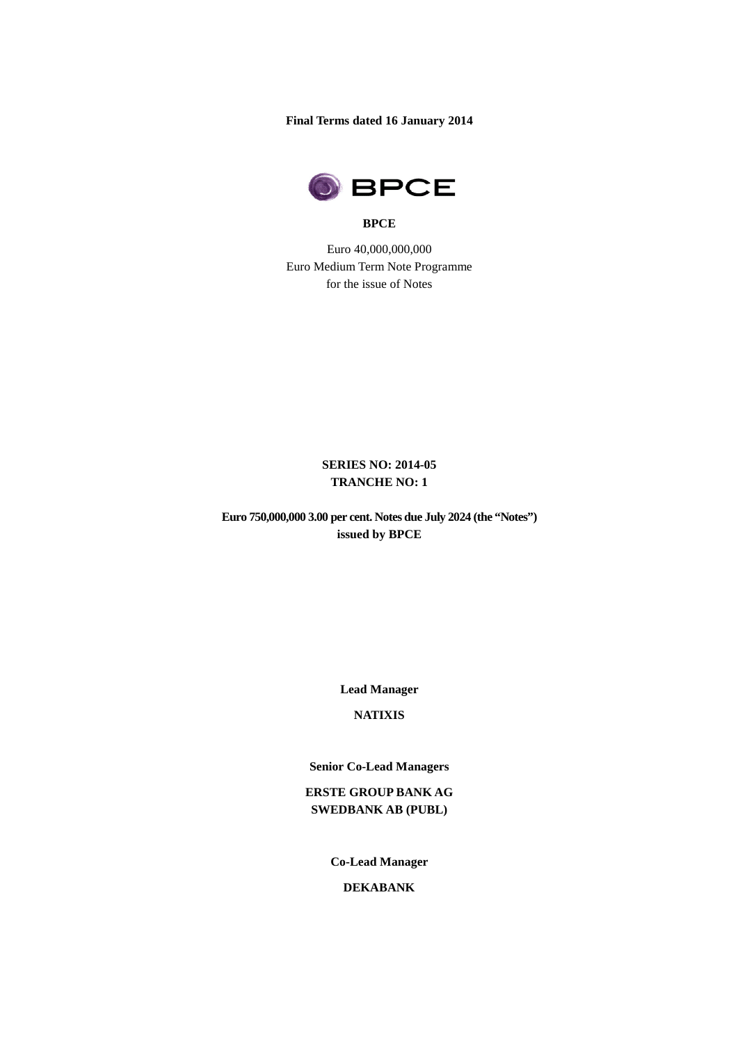**Final Terms dated 16 January 2014**



#### **BPCE**

Euro 40,000,000,000 Euro Medium Term Note Programme for the issue of Notes

## **SERIES NO: 2014-05 TRANCHE NO: 1**

**Euro 750,000,000 3.00 per cent. Notes due July 2024 (the "Notes") issued by BPCE** 

**Lead Manager**

# **NATIXIS**

**Senior Co-Lead Managers**

**ERSTE GROUP BANK AG SWEDBANK AB (PUBL)**

**Co-Lead Manager**

**DEKABANK**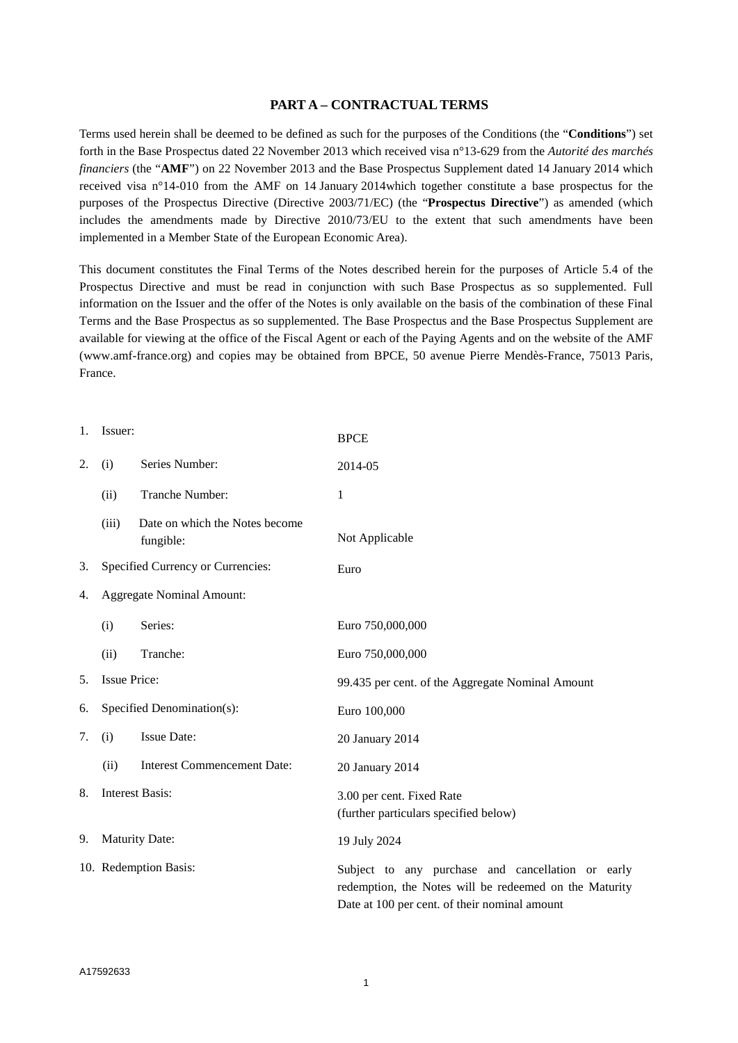#### **PART A – CONTRACTUAL TERMS**

Terms used herein shall be deemed to be defined as such for the purposes of the Conditions (the "**Conditions**") set forth in the Base Prospectus dated 22 November 2013 which received visa n°13-629 from the *Autorité des marchés financiers* (the "**AMF**") on 22 November 2013 and the Base Prospectus Supplement dated 14 January 2014 which received visa n°14-010 from the AMF on 14 January 2014which together constitute a base prospectus for the purposes of the Prospectus Directive (Directive 2003/71/EC) (the "**Prospectus Directive**") as amended (which includes the amendments made by Directive 2010/73/EU to the extent that such amendments have been implemented in a Member State of the European Economic Area).

This document constitutes the Final Terms of the Notes described herein for the purposes of Article 5.4 of the Prospectus Directive and must be read in conjunction with such Base Prospectus as so supplemented. Full information on the Issuer and the offer of the Notes is only available on the basis of the combination of these Final Terms and the Base Prospectus as so supplemented. The Base Prospectus and the Base Prospectus Supplement are available for viewing at the office of the Fiscal Agent or each of the Paying Agents and on the website of the AMF (www.amf-france.org) and copies may be obtained from BPCE, 50 avenue Pierre Mendès-France, 75013 Paris, France.

| 1. | Issuer:                           |                                             | <b>BPCE</b>                                                                                                                                                  |  |
|----|-----------------------------------|---------------------------------------------|--------------------------------------------------------------------------------------------------------------------------------------------------------------|--|
| 2. | (i)                               | Series Number:                              | 2014-05                                                                                                                                                      |  |
|    | (ii)                              | Tranche Number:                             | 1                                                                                                                                                            |  |
|    | (iii)                             | Date on which the Notes become<br>fungible: | Not Applicable                                                                                                                                               |  |
| 3. | Specified Currency or Currencies: |                                             | Euro                                                                                                                                                         |  |
| 4. | <b>Aggregate Nominal Amount:</b>  |                                             |                                                                                                                                                              |  |
|    | (i)                               | Series:                                     | Euro 750,000,000                                                                                                                                             |  |
|    | (ii)                              | Tranche:                                    | Euro 750,000,000                                                                                                                                             |  |
| 5. | <b>Issue Price:</b>               |                                             | 99.435 per cent. of the Aggregate Nominal Amount                                                                                                             |  |
| 6. |                                   | Specified Denomination(s):                  | Euro 100,000                                                                                                                                                 |  |
| 7. | (i)                               | <b>Issue Date:</b>                          | 20 January 2014                                                                                                                                              |  |
|    | (ii)                              | <b>Interest Commencement Date:</b>          | 20 January 2014                                                                                                                                              |  |
| 8. | <b>Interest Basis:</b>            |                                             | 3.00 per cent. Fixed Rate<br>(further particulars specified below)                                                                                           |  |
| 9. | <b>Maturity Date:</b>             |                                             | 19 July 2024                                                                                                                                                 |  |
|    | 10. Redemption Basis:             |                                             | Subject to any purchase and cancellation or early<br>redemption, the Notes will be redeemed on the Maturity<br>Date at 100 per cent. of their nominal amount |  |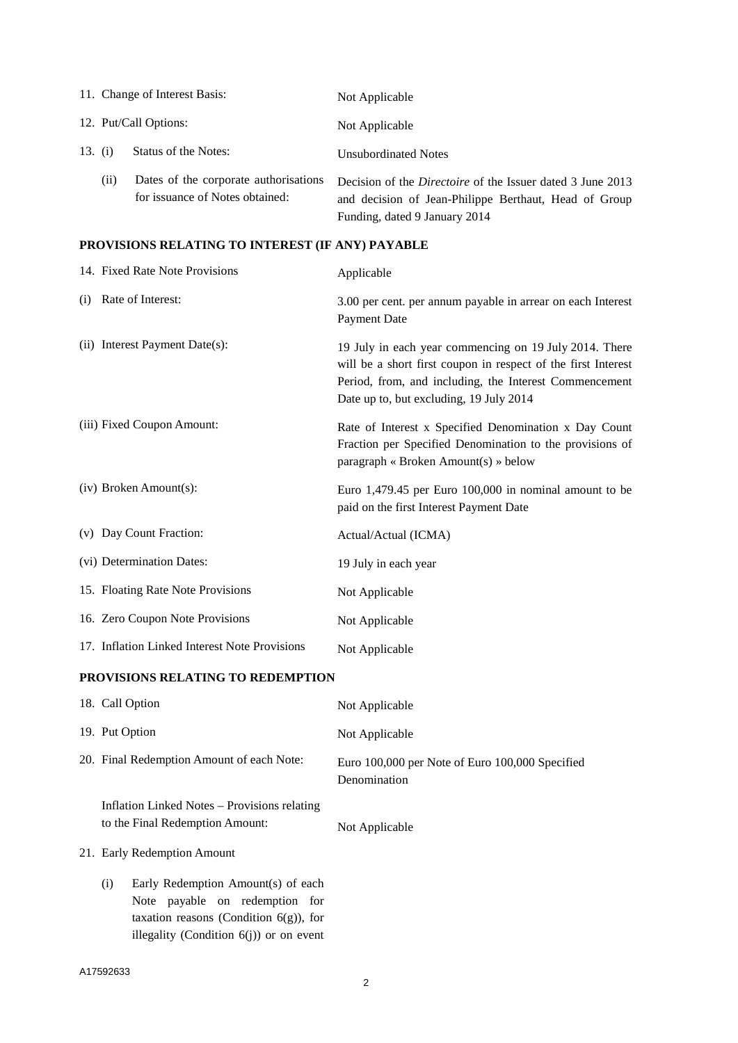|         |                       | 11. Change of Interest Basis:                                            | Not Applicable                                                                                                                                              |
|---------|-----------------------|--------------------------------------------------------------------------|-------------------------------------------------------------------------------------------------------------------------------------------------------------|
|         | 12. Put/Call Options: |                                                                          | Not Applicable                                                                                                                                              |
| 13. (i) |                       | Status of the Notes:                                                     | <b>Unsubordinated Notes</b>                                                                                                                                 |
|         | (11)                  | Dates of the corporate authorisations<br>for issuance of Notes obtained: | Decision of the <i>Directoire</i> of the Issuer dated 3 June 2013<br>and decision of Jean-Philippe Berthaut, Head of Group<br>Funding, dated 9 January 2014 |

# **PROVISIONS RELATING TO INTEREST (IF ANY) PAYABLE**

|                                   | 14. Fixed Rate Note Provisions                                                  | Applicable                                                                                                                                                                                                                   |  |
|-----------------------------------|---------------------------------------------------------------------------------|------------------------------------------------------------------------------------------------------------------------------------------------------------------------------------------------------------------------------|--|
|                                   | (i) Rate of Interest:                                                           | 3.00 per cent. per annum payable in arrear on each Interest<br><b>Payment Date</b>                                                                                                                                           |  |
|                                   | (ii) Interest Payment Date(s):                                                  | 19 July in each year commencing on 19 July 2014. There<br>will be a short first coupon in respect of the first Interest<br>Period, from, and including, the Interest Commencement<br>Date up to, but excluding, 19 July 2014 |  |
|                                   | (iii) Fixed Coupon Amount:                                                      | Rate of Interest x Specified Denomination x Day Count<br>Fraction per Specified Denomination to the provisions of<br>paragraph « Broken Amount(s) » below                                                                    |  |
|                                   | (iv) Broken Amount(s):                                                          | Euro 1,479.45 per Euro 100,000 in nominal amount to be<br>paid on the first Interest Payment Date                                                                                                                            |  |
|                                   | (v) Day Count Fraction:                                                         | Actual/Actual (ICMA)                                                                                                                                                                                                         |  |
|                                   | (vi) Determination Dates:                                                       | 19 July in each year                                                                                                                                                                                                         |  |
|                                   | 15. Floating Rate Note Provisions                                               | Not Applicable                                                                                                                                                                                                               |  |
|                                   | 16. Zero Coupon Note Provisions                                                 | Not Applicable                                                                                                                                                                                                               |  |
|                                   | 17. Inflation Linked Interest Note Provisions                                   | Not Applicable                                                                                                                                                                                                               |  |
| PROVISIONS RELATING TO REDEMPTION |                                                                                 |                                                                                                                                                                                                                              |  |
|                                   | 18. Call Option                                                                 | Not Applicable                                                                                                                                                                                                               |  |
|                                   | 19. Put Option                                                                  | Not Applicable                                                                                                                                                                                                               |  |
|                                   | 20. Final Redemption Amount of each Note:                                       | Euro 100,000 per Note of Euro 100,000 Specified<br>Denomination                                                                                                                                                              |  |
|                                   | Inflation Linked Notes - Provisions relating<br>to the Final Redemption Amount: | Not Applicable                                                                                                                                                                                                               |  |
|                                   | 21. Early Redemption Amount                                                     |                                                                                                                                                                                                                              |  |
|                                   | Early Redemption Amount(s) of each<br>(i)<br>Note payable on redemption for     |                                                                                                                                                                                                                              |  |

taxation reasons (Condition 6(g)), for illegality (Condition 6(j)) or on event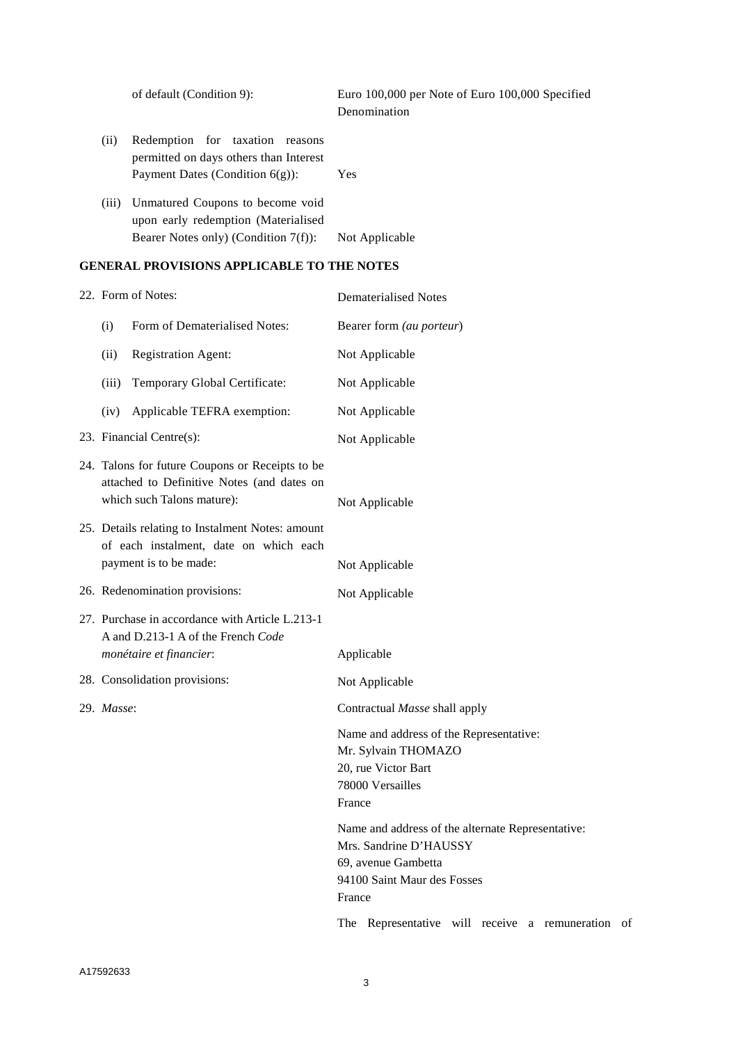|       | of default (Condition 9):                                                                                          | Euro 100,000 per Note of Euro 100,000 Specified<br>Denomination |
|-------|--------------------------------------------------------------------------------------------------------------------|-----------------------------------------------------------------|
| (i)   | Redemption for taxation<br>reasons<br>permitted on days others than Interest<br>Payment Dates (Condition $6(g)$ ): | Yes                                                             |
| (iii) | Unmatured Coupons to become void<br>upon early redemption (Materialised<br>Bearer Notes only) (Condition 7(f)):    | Not Applicable                                                  |

# **GENERAL PROVISIONS APPLICABLE TO THE NOTES**

|                                                                                                                             | 22. Form of Notes:                                                                    | <b>Dematerialised Notes</b>                                                                                                                 |  |
|-----------------------------------------------------------------------------------------------------------------------------|---------------------------------------------------------------------------------------|---------------------------------------------------------------------------------------------------------------------------------------------|--|
| (i)                                                                                                                         | Form of Dematerialised Notes:                                                         | Bearer form (au porteur)                                                                                                                    |  |
| (ii)                                                                                                                        | <b>Registration Agent:</b>                                                            | Not Applicable                                                                                                                              |  |
| (iii)                                                                                                                       | Temporary Global Certificate:                                                         | Not Applicable                                                                                                                              |  |
| (iv)                                                                                                                        | Applicable TEFRA exemption:                                                           | Not Applicable                                                                                                                              |  |
|                                                                                                                             | 23. Financial Centre(s):<br>Not Applicable                                            |                                                                                                                                             |  |
| 24. Talons for future Coupons or Receipts to be<br>attached to Definitive Notes (and dates on<br>which such Talons mature): |                                                                                       | Not Applicable                                                                                                                              |  |
| 25. Details relating to Instalment Notes: amount<br>of each instalment, date on which each<br>payment is to be made:        |                                                                                       | Not Applicable                                                                                                                              |  |
|                                                                                                                             | 26. Redenomination provisions:                                                        | Not Applicable                                                                                                                              |  |
|                                                                                                                             | 27. Purchase in accordance with Article L.213-1<br>A and D.213-1 A of the French Code |                                                                                                                                             |  |
|                                                                                                                             | monétaire et financier:                                                               | Applicable                                                                                                                                  |  |
|                                                                                                                             | 28. Consolidation provisions:                                                         | Not Applicable                                                                                                                              |  |
| 29. Masse:                                                                                                                  |                                                                                       | Contractual Masse shall apply                                                                                                               |  |
|                                                                                                                             |                                                                                       | Name and address of the Representative:<br>Mr. Sylvain THOMAZO<br>20, rue Victor Bart<br>78000 Versailles<br>France                         |  |
|                                                                                                                             |                                                                                       | Name and address of the alternate Representative:<br>Mrs. Sandrine D'HAUSSY<br>69, avenue Gambetta<br>94100 Saint Maur des Fosses<br>France |  |
|                                                                                                                             |                                                                                       | The Representative will receive a remuneration of                                                                                           |  |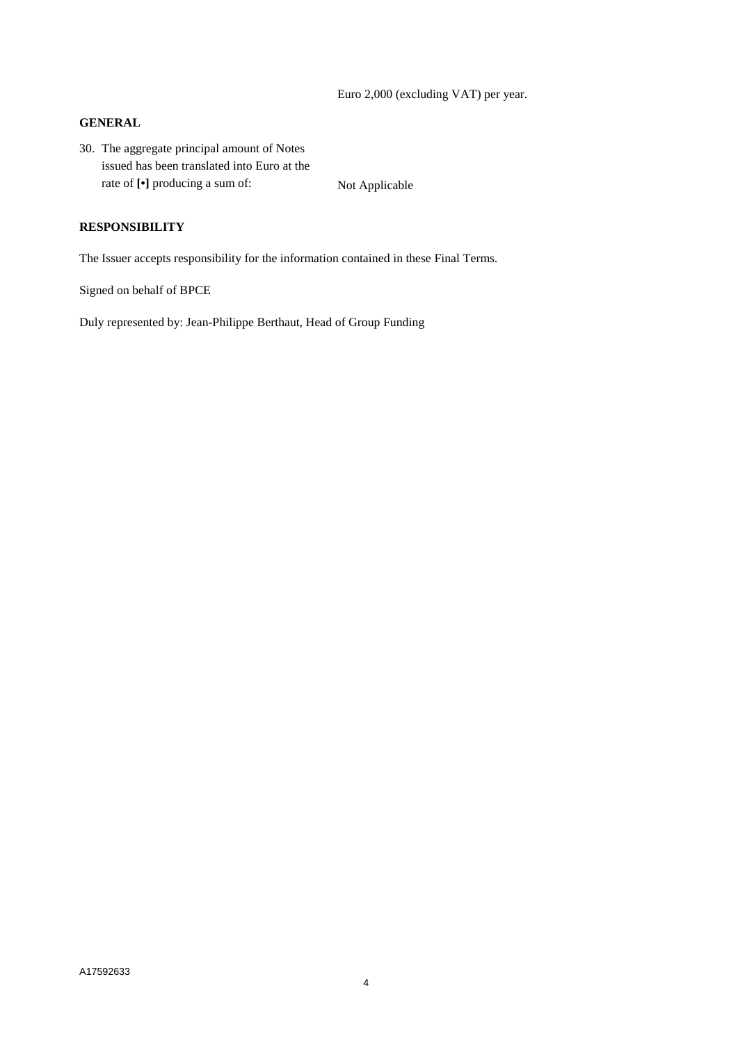Euro 2,000 (excluding VAT) per year.

#### **GENERAL**

30. The aggregate principal amount of Notes issued has been translated into Euro at the rate of  $[\cdot]$  producing a sum of: Not Applicable

## **RESPONSIBILITY**

The Issuer accepts responsibility for the information contained in these Final Terms.

Signed on behalf of BPCE

Duly represented by: Jean-Philippe Berthaut, Head of Group Funding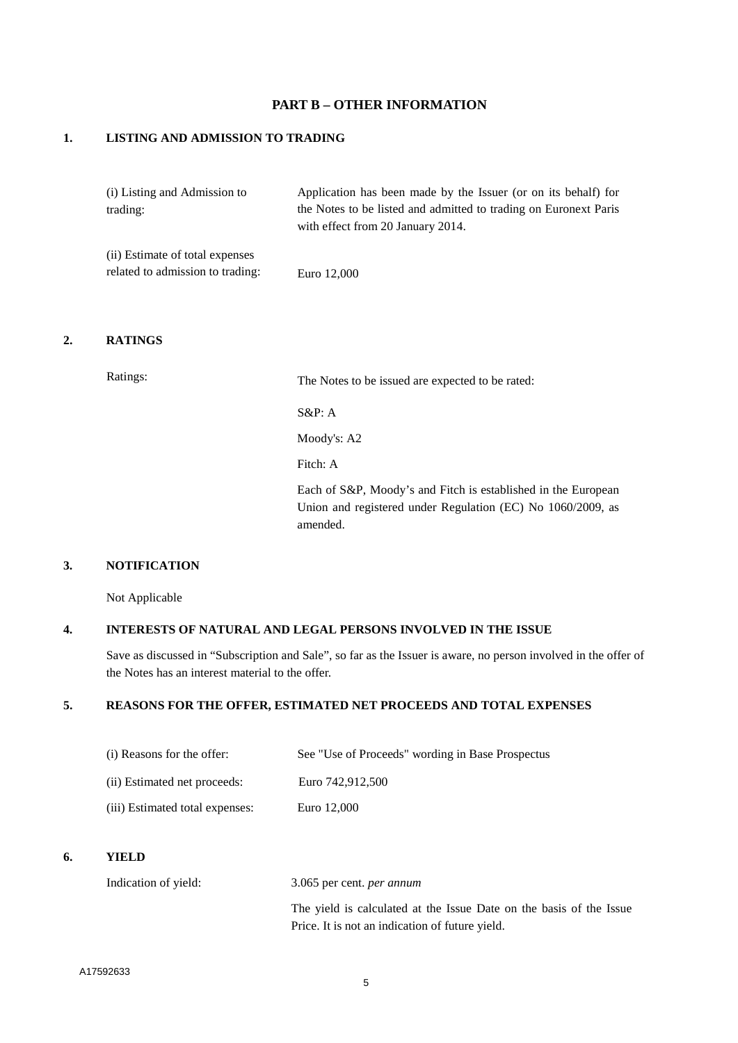## **PART B – OTHER INFORMATION**

## **1. LISTING AND ADMISSION TO TRADING**

| (i) Listing and Admission to    | Application has been made by the Issuer (or on its behalf) for   |
|---------------------------------|------------------------------------------------------------------|
| trading:                        | the Notes to be listed and admitted to trading on Euronext Paris |
|                                 | with effect from 20 January 2014.                                |
| (ii) Estimate of total expenses |                                                                  |

#### **2. RATINGS**

Ratings: The Notes to be issued are expected to be rated:

S&P: A

Moody's: A2

Fitch: A

Each of S&P, Moody's and Fitch is established in the European Union and registered under Regulation (EC) No 1060/2009, as amended.

## **3. NOTIFICATION**

Not Applicable

## **4. INTERESTS OF NATURAL AND LEGAL PERSONS INVOLVED IN THE ISSUE**

Save as discussed in "Subscription and Sale", so far as the Issuer is aware, no person involved in the offer of the Notes has an interest material to the offer.

#### **5. REASONS FOR THE OFFER, ESTIMATED NET PROCEEDS AND TOTAL EXPENSES**

| (i) Reasons for the offer:      | See "Use of Proceeds" wording in Base Prospectus |
|---------------------------------|--------------------------------------------------|
| (ii) Estimated net proceeds:    | Euro 742.912.500                                 |
| (iii) Estimated total expenses: | Euro 12,000                                      |

#### **6. YIELD**

Indication of yield: 3.065 per cent. *per annum* The yield is calculated at the Issue Date on the basis of the Issue Price. It is not an indication of future yield.